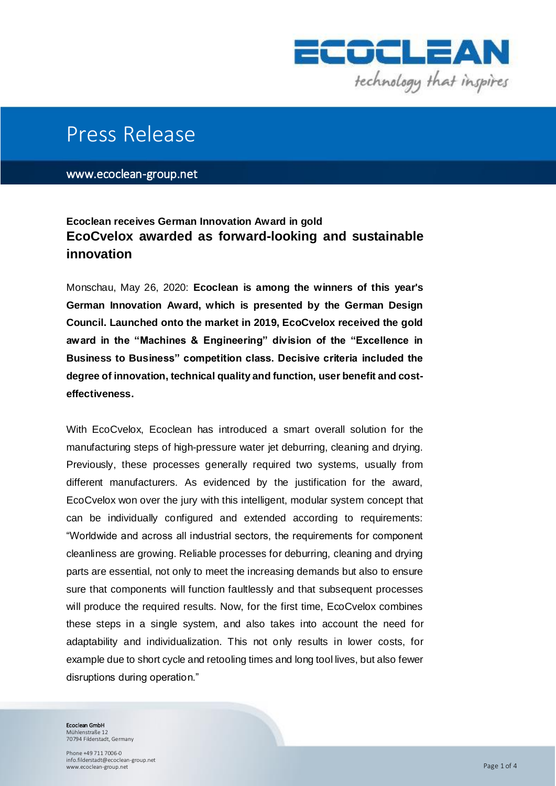

## Press Release

www.ecoclean-group.net

## **Ecoclean receives German Innovation Award in gold EcoCvelox awarded as forward-looking and sustainable innovation**

Monschau, May 26, 2020: **Ecoclean is among the winners of this year's German Innovation Award, which is presented by the German Design Council. Launched onto the market in 2019, EcoCvelox received the gold award in the "Machines & Engineering" division of the "Excellence in Business to Business" competition class. Decisive criteria included the degree of innovation, technical quality and function, user benefit and costeffectiveness.** 

With EcoCvelox, Ecoclean has introduced a smart overall solution for the manufacturing steps of high-pressure water jet deburring, cleaning and drying. Previously, these processes generally required two systems, usually from different manufacturers. As evidenced by the justification for the award, EcoCvelox won over the jury with this intelligent, modular system concept that can be individually configured and extended according to requirements: "Worldwide and across all industrial sectors, the requirements for component cleanliness are growing. Reliable processes for deburring, cleaning and drying parts are essential, not only to meet the increasing demands but also to ensure sure that components will function faultlessly and that subsequent processes will produce the required results. Now, for the first time, EcoCvelox combines these steps in a single system, and also takes into account the need for adaptability and individualization. This not only results in lower costs, for example due to short cycle and retooling times and long tool lives, but also fewer disruptions during operation."

Ecoclean GmbH Mühlenstraße 12

70794 Filderstadt, Germany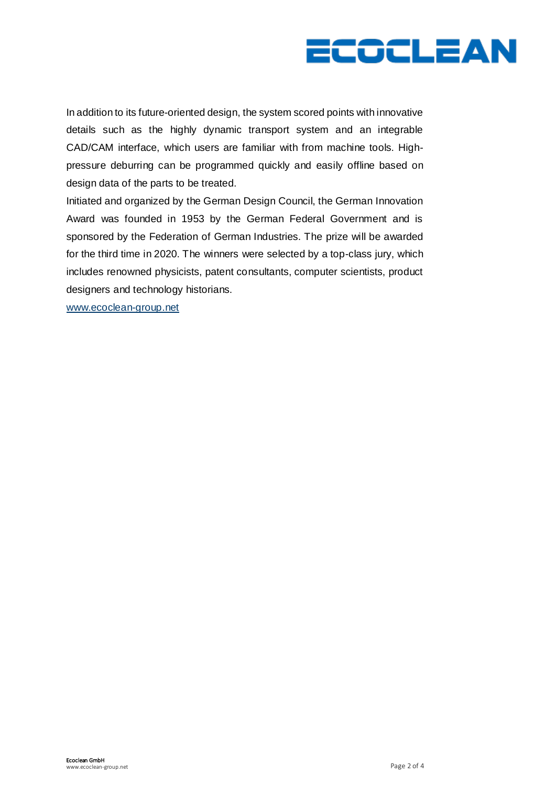

In addition to its future-oriented design, the system scored points with innovative details such as the highly dynamic transport system and an integrable CAD/CAM interface, which users are familiar with from machine tools. Highpressure deburring can be programmed quickly and easily offline based on design data of the parts to be treated.

Initiated and organized by the German Design Council, the German Innovation Award was founded in 1953 by the German Federal Government and is sponsored by the Federation of German Industries. The prize will be awarded for the third time in 2020. The winners were selected by a top-class jury, which includes renowned physicists, patent consultants, computer scientists, product designers and technology historians.

[www.ecoclean-group.net](http://www.ecoclean-group.net/)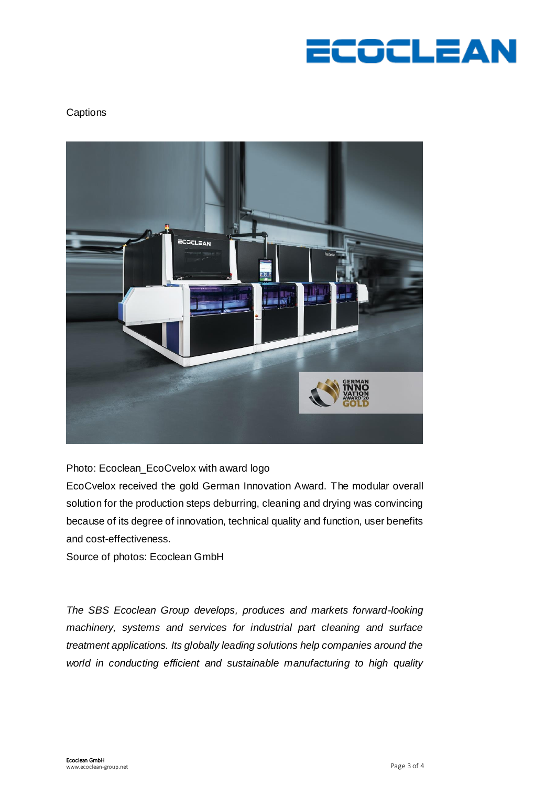

## **Captions**



Photo: Ecoclean\_EcoCvelox with award logo

EcoCvelox received the gold German Innovation Award. The modular overall solution for the production steps deburring, cleaning and drying was convincing because of its degree of innovation, technical quality and function, user benefits and cost-effectiveness.

Source of photos: Ecoclean GmbH

*The SBS Ecoclean Group develops, produces and markets forward-looking machinery, systems and services for industrial part cleaning and surface treatment applications. Its globally leading solutions help companies around the world in conducting efficient and sustainable manufacturing to high quality*